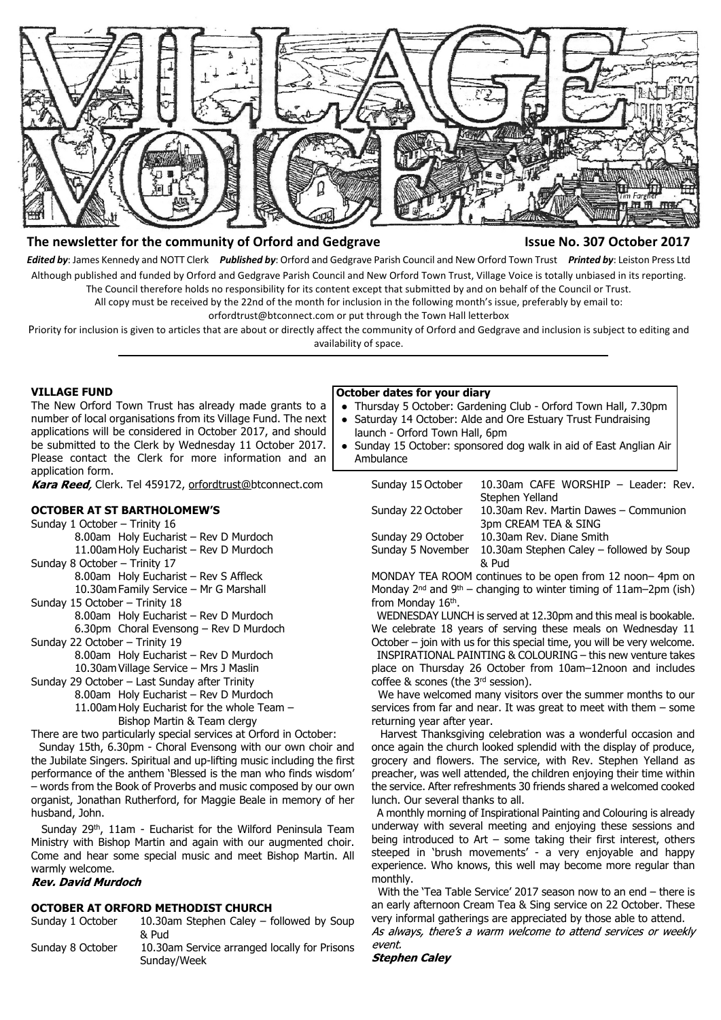

# **The newsletter for the community of Orford and Gedgrave The Community of Orford and Gedgrave Integrational State No. 307 October 2017**

*Edited by*: James Kennedy and NOTT Clerk *Published by*: Orford and Gedgrave Parish Council and New Orford Town Trust *Printed by*: Leiston Press Ltd Although published and funded by Orford and Gedgrave Parish Council and New Orford Town Trust, Village Voice is totally unbiased in its reporting. The Council therefore holds no responsibility for its content except that submitted by and on behalf of the Council or Trust.

All copy must be received by the 22nd of the month for inclusion in the following month's issue, preferably by email to:

orfordtrust@btconnect.com or put through the Town Hall letterbox

Priority for inclusion is given to articles that are about or directly affect the community of Orford and Gedgrave and inclusion is subject to editing and availability of space.

#### **VILLAGE FUND**

The New Orford Town Trust has already made grants to a number of local organisations from its Village Fund. The next applications will be considered in October 2017, and should be submitted to the Clerk by Wednesday 11 October 2017. Please contact the Clerk for more information and an application form.

Kara Reed, Clerk. Tel 459172, orfordtrust@btconnect.com

# **OCTOBER AT ST BARTHOLOMEW'S**

- Sunday 1 October Trinity 16
	- 8.00am Holy Eucharist Rev D Murdoch 11.00am Holy Eucharist – Rev D Murdoch
- Sunday 8 October Trinity 17

8.00am Holy Eucharist – Rev S Affleck 10.30am Family Service – Mr G Marshall

Sunday 15 October – Trinity 18 8.00am Holy Eucharist – Rev D Murdoch

6.30pm Choral Evensong – Rev D Murdoch

- Sunday 22 October Trinity 19
	- 8.00am Holy Eucharist Rev D Murdoch
	- 10.30am Village Service Mrs J Maslin
- Sunday 29 October Last Sunday after Trinity
	- 8.00am Holy Eucharist Rev D Murdoch
	- 11.00am Holy Eucharist for the whole Team
		- Bishop Martin & Team clergy

There are two particularly special services at Orford in October:

 Sunday 15th, 6.30pm - Choral Evensong with our own choir and the Jubilate Singers. Spiritual and up-lifting music including the first performance of the anthem 'Blessed is the man who finds wisdom' – words from the Book of Proverbs and music composed by our own organist, Jonathan Rutherford, for Maggie Beale in memory of her husband, John.

 Sunday 29th, 11am - Eucharist for the Wilford Peninsula Team Ministry with Bishop Martin and again with our augmented choir. Come and hear some special music and meet Bishop Martin. All warmly welcome.<br>Rev. David Murdoch

### **OCTOBER AT ORFORD METHODIST CHURCH**

- Sunday 1 October 10.30am Stephen Caley followed by Soup & Pud
- Sunday 8 October 10.30am Service arranged locally for Prisons Sunday/Week

#### **October dates for your diary**

- Thursday 5 October: Gardening Club Orford Town Hall, 7.30pm
- Saturday 14 October: Alde and Ore Estuary Trust Fundraising
- launch Orford Town Hall, 6pm Sunday 15 October: sponsored dog walk in aid of East Anglian Air Ambulance

| Sunday 15 October | 10.30am CAFE WORSHIP - Leader: Rev.      |
|-------------------|------------------------------------------|
|                   | Stephen Yelland                          |
| Sunday 22 October | 10.30am Rev. Martin Dawes - Communion    |
|                   | 3pm CREAM TEA & SING                     |
| Sunday 29 October | 10.30am Rev. Diane Smith                 |
| Sunday 5 November | 10.30am Stephen Caley - followed by Soup |
|                   | & Pud                                    |
|                   |                                          |

MONDAY TEA ROOM continues to be open from 12 noon– 4pm on Monday  $2^{nd}$  and  $9^{th}$  – changing to winter timing of 11am–2pm (ish) from Monday 16<sup>th</sup>.

 WEDNESDAY LUNCH is served at 12.30pm and this meal is bookable. We celebrate 18 years of serving these meals on Wednesday 11 October – join with us for this special time, you will be very welcome.

 INSPIRATIONAL PAINTING & COLOURING – this new venture takes place on Thursday 26 October from 10am–12noon and includes coffee & scones (the 3rd session).

We have welcomed many visitors over the summer months to our services from far and near. It was great to meet with them – some returning year after year.

 Harvest Thanksgiving celebration was a wonderful occasion and once again the church looked splendid with the display of produce, grocery and flowers. The service, with Rev. Stephen Yelland as preacher, was well attended, the children enjoying their time within the service. After refreshments 30 friends shared a welcomed cooked lunch. Our several thanks to all.

 A monthly morning of Inspirational Painting and Colouring is already underway with several meeting and enjoying these sessions and being introduced to Art – some taking their first interest, others steeped in 'brush movements' - a very enjoyable and happy experience. Who knows, this well may become more regular than monthly.

 With the 'Tea Table Service' 2017 season now to an end – there is an early afternoon Cream Tea & Sing service on 22 October. These very informal gatherings are appreciated by those able to attend.

As always, there's a warm welcome to attend services or weekly event.

#### **Stephen Caley**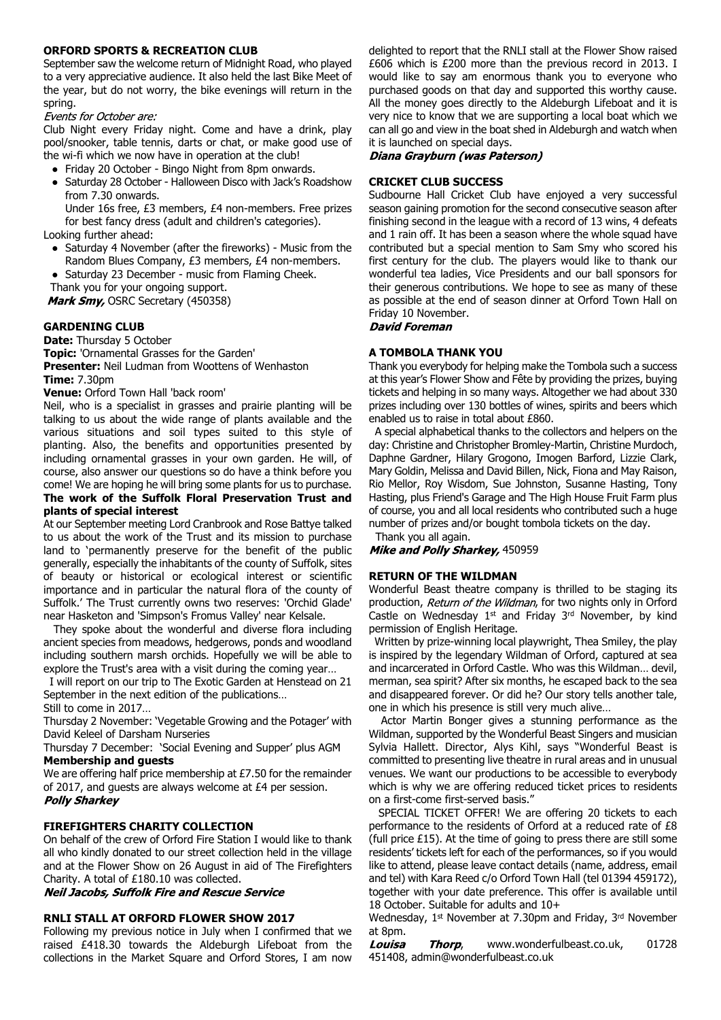### **ORFORD SPORTS & RECREATION CLUB**

September saw the welcome return of Midnight Road, who played to a very appreciative audience. It also held the last Bike Meet of the year, but do not worry, the bike evenings will return in the

spring.<br>Events for October are:

Club Night every Friday night. Come and have a drink, play pool/snooker, table tennis, darts or chat, or make good use of the wi-fi which we now have in operation at the club!

- Friday 20 October Bingo Night from 8pm onwards.
- Saturday 28 October Halloween Disco with Jack's Roadshow from 7.30 onwards.

Under 16s free, £3 members, £4 non-members. Free prizes for best fancy dress (adult and children's categories).

Looking further ahead:

- Saturday 4 November (after the fireworks) Music from the Random Blues Company, £3 members, £4 non-members.
- Saturday 23 December music from Flaming Cheek.

Thank you for your ongoing support.

Mark Smy, OSRC Secretary (450358)

# **GARDENING CLUB**

**Date:** Thursday 5 October

**Topic:** 'Ornamental Grasses for the Garden'

**Presenter:** Neil Ludman from Woottens of Wenhaston **Time:** 7.30pm

**Venue:** Orford Town Hall 'back room'

Neil, who is a specialist in grasses and prairie planting will be talking to us about the wide range of plants available and the various situations and soil types suited to this style of planting. Also, the benefits and opportunities presented by including ornamental grasses in your own garden. He will, of course, also answer our questions so do have a think before you come! We are hoping he will bring some plants for us to purchase.

# **The work of the Suffolk Floral Preservation Trust and plants of special interest**

At our September meeting Lord Cranbrook and Rose Battye talked to us about the work of the Trust and its mission to purchase land to 'permanently preserve for the benefit of the public generally, especially the inhabitants of the county of Suffolk, sites of beauty or historical or ecological interest or scientific importance and in particular the natural flora of the county of Suffolk.' The Trust currently owns two reserves: 'Orchid Glade' near Hasketon and 'Simpson's Fromus Valley' near Kelsale.

 They spoke about the wonderful and diverse flora including ancient species from meadows, hedgerows, ponds and woodland including southern marsh orchids. Hopefully we will be able to explore the Trust's area with a visit during the coming year…

 I will report on our trip to The Exotic Garden at Henstead on 21 September in the next edition of the publications… Still to come in 2017…

Thursday 2 November: 'Vegetable Growing and the Potager' with David Keleel of Darsham Nurseries

Thursday 7 December: 'Social Evening and Supper' plus AGM **Membership and guests**

We are offering half price membership at £7.50 for the remainder of 2017, and guests are always welcome at £4 per session. **Polly Sharkey** 

# **FIREFIGHTERS CHARITY COLLECTION**

On behalf of the crew of Orford Fire Station I would like to thank all who kindly donated to our street collection held in the village and at the Flower Show on 26 August in aid of The Firefighters Charity. A total of £180.10 was collected.

Neil Jacobs, Suffolk Fire and Rescue Service

#### **RNLI STALL AT ORFORD FLOWER SHOW 2017**

Following my previous notice in July when I confirmed that we raised £418.30 towards the Aldeburgh Lifeboat from the collections in the Market Square and Orford Stores, I am now delighted to report that the RNLI stall at the Flower Show raised £606 which is £200 more than the previous record in 2013. I would like to say am enormous thank you to everyone who purchased goods on that day and supported this worthy cause. All the money goes directly to the Aldeburgh Lifeboat and it is very nice to know that we are supporting a local boat which we can all go and view in the boat shed in Aldeburgh and watch when it is launched on special days.

### Diana Grayburn (was Paterson)

# **CRICKET CLUB SUCCESS**

Sudbourne Hall Cricket Club have enjoyed a very successful season gaining promotion for the second consecutive season after finishing second in the league with a record of 13 wins, 4 defeats and 1 rain off. It has been a season where the whole squad have contributed but a special mention to Sam Smy who scored his first century for the club. The players would like to thank our wonderful tea ladies, Vice Presidents and our ball sponsors for their generous contributions. We hope to see as many of these as possible at the end of season dinner at Orford Town Hall on Friday 10 November.<br>**David Foreman** 

### **A TOMBOLA THANK YOU**

Thank you everybody for helping make the Tombola such a success at this year's Flower Show and Fête by providing the prizes, buying tickets and helping in so many ways. Altogether we had about 330 prizes including over 130 bottles of wines, spirits and beers which enabled us to raise in total about £860.

 A special alphabetical thanks to the collectors and helpers on the day: Christine and Christopher Bromley-Martin, Christine Murdoch, Daphne Gardner, Hilary Grogono, Imogen Barford, Lizzie Clark, Mary Goldin, Melissa and David Billen, Nick, Fiona and May Raison, Rio Mellor, Roy Wisdom, Sue Johnston, Susanne Hasting, Tony Hasting, plus Friend's Garage and The High House Fruit Farm plus of course, you and all local residents who contributed such a huge number of prizes and/or bought tombola tickets on the day.

Thank you all again.

Mike and Polly Sharkey, 450959

## **RETURN OF THE WILDMAN**

Wonderful Beast theatre company is thrilled to be staging its production, Return of the Wildman, for two nights only in Orford Castle on Wednesday 1<sup>st</sup> and Friday 3<sup>rd</sup> November, by kind permission of English Heritage.

 Written by prize-winning local playwright, Thea Smiley, the play is inspired by the legendary Wildman of Orford, captured at sea and incarcerated in Orford Castle. Who was this Wildman… devil, merman, sea spirit? After six months, he escaped back to the sea and disappeared forever. Or did he? Our story tells another tale, one in which his presence is still very much alive…

 Actor Martin Bonger gives a stunning performance as the Wildman, supported by the Wonderful Beast Singers and musician Sylvia Hallett. Director, Alys Kihl, says "Wonderful Beast is committed to presenting live theatre in rural areas and in unusual venues. We want our productions to be accessible to everybody which is why we are offering reduced ticket prices to residents on a first-come first-served basis."

 SPECIAL TICKET OFFER! We are offering 20 tickets to each performance to the residents of Orford at a reduced rate of £8 (full price £15). At the time of going to press there are still some residents' tickets left for each of the performances, so if you would like to attend, please leave contact details (name, address, email and tel) with Kara Reed c/o Orford Town Hall (tel 01394 459172), together with your date preference. This offer is available until 18 October. Suitable for adults and 10+

Wednesday, 1st November at 7.30pm and Friday, 3rd November at 8pm.

Louisa Thorp, www.wonderfulbeast.co.uk, 01728 451408, admin@wonderfulbeast.co.uk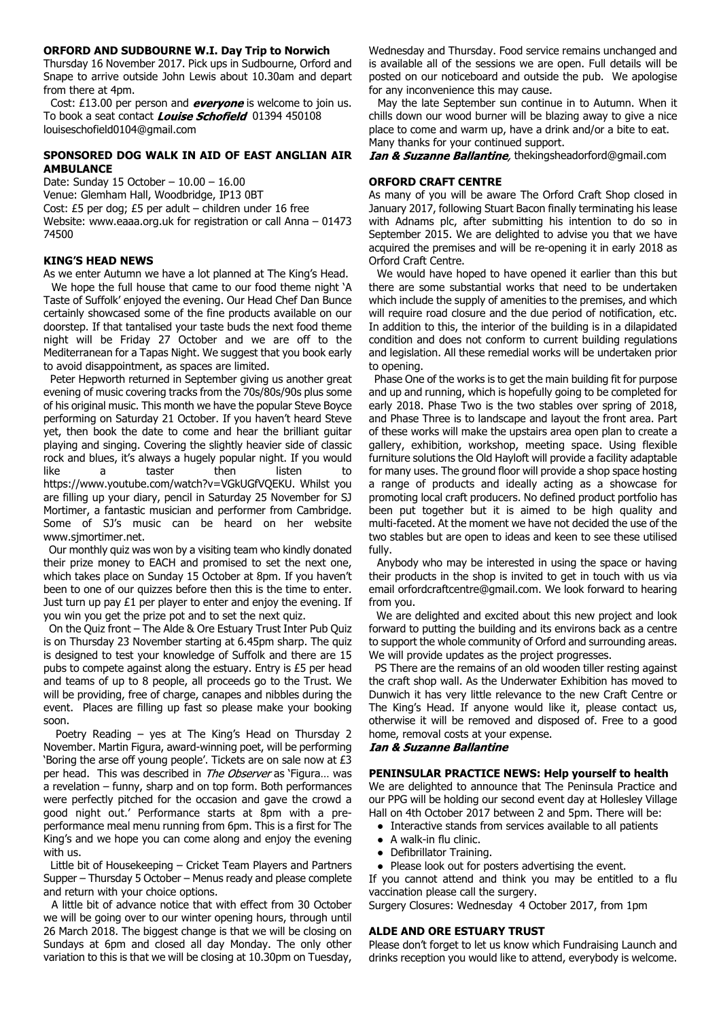#### **ORFORD AND SUDBOURNE W.I. Day Trip to Norwich**

Thursday 16 November 2017. Pick ups in Sudbourne, Orford and Snape to arrive outside John Lewis about 10.30am and depart from there at 4pm.

Cost: £13.00 per person and **everyone** is welcome to join us. To book a seat contact **Louise Schofield** 01394 450108 louiseschofield0104@gmail.com

# **SPONSORED DOG WALK IN AID OF EAST ANGLIAN AIR AMBULANCE**

Date: Sunday 15 October – 10.00 – 16.00 Venue: Glemham Hall, Woodbridge, IP13 0BT Cost: £5 per dog; £5 per adult – children under 16 free Website: www.eaaa.org.uk for registration or call Anna – 01473 74500

# **KING'S HEAD NEWS**

As we enter Autumn we have a lot planned at The King's Head. We hope the full house that came to our food theme night 'A Taste of Suffolk' enjoyed the evening. Our Head Chef Dan Bunce certainly showcased some of the fine products available on our doorstep. If that tantalised your taste buds the next food theme night will be Friday 27 October and we are off to the Mediterranean for a Tapas Night. We suggest that you book early to avoid disappointment, as spaces are limited.

 Peter Hepworth returned in September giving us another great evening of music covering tracks from the 70s/80s/90s plus some of his original music. This month we have the popular Steve Boyce performing on Saturday 21 October. If you haven't heard Steve yet, then book the date to come and hear the brilliant guitar playing and singing. Covering the slightly heavier side of classic rock and blues, it's always a hugely popular night. If you would like a taster then listen to https://www.youtube.com/watch?v=VGkUGfVQEKU. Whilst you are filling up your diary, pencil in Saturday 25 November for SJ Mortimer, a fantastic musician and performer from Cambridge. Some of SJ's music can be heard on her website www.sjmortimer.net.

 Our monthly quiz was won by a visiting team who kindly donated their prize money to EACH and promised to set the next one, which takes place on Sunday 15 October at 8pm. If you haven't been to one of our quizzes before then this is the time to enter. Just turn up pay £1 per player to enter and enjoy the evening. If you win you get the prize pot and to set the next quiz.

 On the Quiz front – The Alde & Ore Estuary Trust Inter Pub Quiz is on Thursday 23 November starting at 6.45pm sharp. The quiz is designed to test your knowledge of Suffolk and there are 15 pubs to compete against along the estuary. Entry is £5 per head and teams of up to 8 people, all proceeds go to the Trust. We will be providing, free of charge, canapes and nibbles during the event. Places are filling up fast so please make your booking soon.

 Poetry Reading – yes at The King's Head on Thursday 2 November. Martin Figura, award-winning poet, will be performing 'Boring the arse off young people'. Tickets are on sale now at £3 per head. This was described in The Observer as 'Figura... was a revelation – funny, sharp and on top form. Both performances were perfectly pitched for the occasion and gave the crowd a good night out.' Performance starts at 8pm with a preperformance meal menu running from 6pm. This is a first for The King's and we hope you can come along and enjoy the evening with us.

 Little bit of Housekeeping – Cricket Team Players and Partners Supper – Thursday 5 October – Menus ready and please complete and return with your choice options.

 A little bit of advance notice that with effect from 30 October we will be going over to our winter opening hours, through until 26 March 2018. The biggest change is that we will be closing on Sundays at 6pm and closed all day Monday. The only other variation to this is that we will be closing at 10.30pm on Tuesday, Wednesday and Thursday. Food service remains unchanged and is available all of the sessions we are open. Full details will be posted on our noticeboard and outside the pub. We apologise for any inconvenience this may cause.

 May the late September sun continue in to Autumn. When it chills down our wood burner will be blazing away to give a nice place to come and warm up, have a drink and/or a bite to eat. Many thanks for your continued support.

*Ian & Suzanne Ballantine*, thekingsheadorford@gmail.com

# **ORFORD CRAFT CENTRE**

As many of you will be aware The Orford Craft Shop closed in January 2017, following Stuart Bacon finally terminating his lease with Adnams plc, after submitting his intention to do so in September 2015. We are delighted to advise you that we have acquired the premises and will be re-opening it in early 2018 as Orford Craft Centre.

 We would have hoped to have opened it earlier than this but there are some substantial works that need to be undertaken which include the supply of amenities to the premises, and which will require road closure and the due period of notification, etc. In addition to this, the interior of the building is in a dilapidated condition and does not conform to current building regulations and legislation. All these remedial works will be undertaken prior to opening.

 Phase One of the works is to get the main building fit for purpose and up and running, which is hopefully going to be completed for early 2018. Phase Two is the two stables over spring of 2018, and Phase Three is to landscape and layout the front area. Part of these works will make the upstairs area open plan to create a gallery, exhibition, workshop, meeting space. Using flexible furniture solutions the Old Hayloft will provide a facility adaptable for many uses. The ground floor will provide a shop space hosting a range of products and ideally acting as a showcase for promoting local craft producers. No defined product portfolio has been put together but it is aimed to be high quality and multi-faceted. At the moment we have not decided the use of the two stables but are open to ideas and keen to see these utilised fully.

 Anybody who may be interested in using the space or having their products in the shop is invited to get in touch with us via email orfordcraftcentre@gmail.com. We look forward to hearing from you.

 We are delighted and excited about this new project and look forward to putting the building and its environs back as a centre to support the whole community of Orford and surrounding areas. We will provide updates as the project progresses.

 PS There are the remains of an old wooden tiller resting against the craft shop wall. As the Underwater Exhibition has moved to Dunwich it has very little relevance to the new Craft Centre or The King's Head. If anyone would like it, please contact us, otherwise it will be removed and disposed of. Free to a good home, removal costs at your expense.

# **Ian & Suzanne Ballantine**

# **PENINSULAR PRACTICE NEWS: Help yourself to health**

We are delighted to announce that The Peninsula Practice and our PPG will be holding our second event day at Hollesley Village Hall on 4th October 2017 between 2 and 5pm. There will be:

- Interactive stands from services available to all patients
- A walk-in flu clinic.
- Defibrillator Training.
- Please look out for posters advertising the event.

If you cannot attend and think you may be entitled to a flu vaccination please call the surgery.

Surgery Closures: Wednesday 4 October 2017, from 1pm

# **ALDE AND ORE ESTUARY TRUST**

Please don't forget to let us know which Fundraising Launch and drinks reception you would like to attend, everybody is welcome.